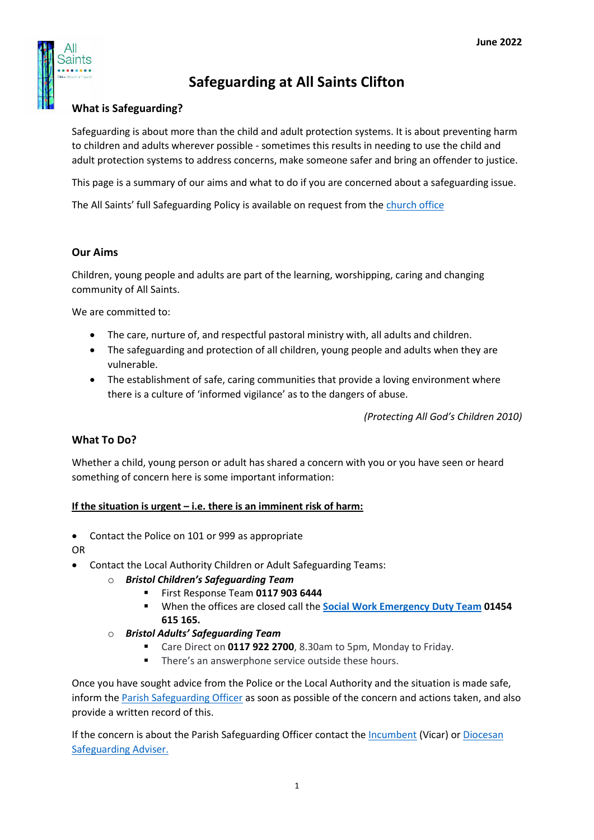

# **Safeguarding at All Saints Clifton**

## **What is Safeguarding?**

Safeguarding is about more than the child and adult protection systems. It is about preventing harm to children and adults wherever possible - sometimes this results in needing to use the child and adult protection systems to address concerns, make someone safer and bring an offender to justice.

This page is a summary of our aims and what to do if you are concerned about a safeguarding issue.

The All Saints' full Safeguarding Policy is available on request from the [church office](mailto:office@allsaintsclifton.org)

## **Our Aims**

Children, young people and adults are part of the learning, worshipping, caring and changing community of All Saints.

We are committed to:

- The care, nurture of, and respectful pastoral ministry with, all adults and children.
- The safeguarding and protection of all children, young people and adults when they are vulnerable.
- The establishment of safe, caring communities that provide a loving environment where there is a culture of 'informed vigilance' as to the dangers of abuse.

*(Protecting All God's Children 2010)*

## **What To Do?**

Whether a child, young person or adult has shared a concern with you or you have seen or heard something of concern here is some important information:

#### **If the situation is urgent – i.e. there is an imminent risk of harm:**

• Contact the Police on 101 or 999 as appropriate

OR

- Contact the Local Authority Children or Adult Safeguarding Teams:
	- o *Bristol Children's Safeguarding Team*
		- First Response Team **0117 903 6444**
		- When the offices are closed call the **Social Work [Emergency Duty Team](https://www.bristol.gov.uk/social-care-health/emergency-duty-team) 01454 615 165.**
	- o *Bristol Adults' Safeguarding Team*
		- Care Direct on **0117 922 2700**, 8.30am to 5pm, Monday to Friday.
		- There's an answerphone service outside these hours.

Once you have sought advice from the Police or the Local Authority and the situation is made safe, inform the [Parish Safeguarding Officer](mailto:stephen.c.okeefe@gmail.com) as soon as possible of the concern and actions taken, and also provide a written record of this.

If the concern is about the Parish Safeguarding Officer contact the [Incumbent](mailto:charleses@me.com) (Vicar) or [Diocesan](mailto:adam.bond@bristoldioceses.org)  [Safeguarding Adviser.](mailto:adam.bond@bristoldioceses.org)